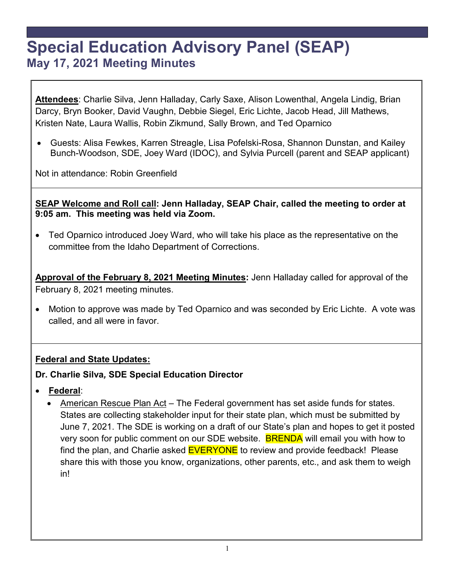# **Special Education Advisory Panel (SEAP) May 17, 2021 Meeting Minutes**

**Attendees**: Charlie Silva, Jenn Halladay, Carly Saxe, Alison Lowenthal, Angela Lindig, Brian Darcy, Bryn Booker, David Vaughn, Debbie Siegel, Eric Lichte, Jacob Head, Jill Mathews, Kristen Nate, Laura Wallis, Robin Zikmund, Sally Brown, and Ted Oparnico

• Guests: Alisa Fewkes, Karren Streagle, Lisa Pofelski-Rosa, Shannon Dunstan, and Kailey Bunch-Woodson, SDE, Joey Ward (IDOC), and Sylvia Purcell (parent and SEAP applicant)

Not in attendance: Robin Greenfield

**SEAP Welcome and Roll call: Jenn Halladay, SEAP Chair, called the meeting to order at 9:05 am. This meeting was held via Zoom.**

• Ted Oparnico introduced Joey Ward, who will take his place as the representative on the committee from the Idaho Department of Corrections.

**Approval of the February 8, 2021 Meeting Minutes:** Jenn Halladay called for approval of the February 8, 2021 meeting minutes.

• Motion to approve was made by Ted Oparnico and was seconded by Eric Lichte. A vote was called, and all were in favor.

#### **Federal and State Updates:**

#### **Dr. Charlie Silva***,* **SDE Special Education Director**

- **Federal**:
	- American Rescue Plan Act The Federal government has set aside funds for states. States are collecting stakeholder input for their state plan, which must be submitted by June 7, 2021. The SDE is working on a draft of our State's plan and hopes to get it posted very soon for public comment on our SDE website. **BRENDA** will email you with how to find the plan, and Charlie asked EVERYONE to review and provide feedback! Please share this with those you know, organizations, other parents, etc., and ask them to weigh in!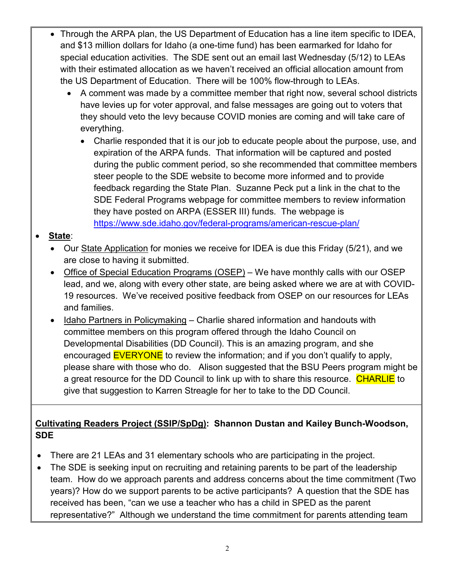- Through the ARPA plan, the US Department of Education has a line item specific to IDEA, and \$13 million dollars for Idaho (a one-time fund) has been earmarked for Idaho for special education activities. The SDE sent out an email last Wednesday (5/12) to LEAs with their estimated allocation as we haven't received an official allocation amount from the US Department of Education. There will be 100% flow-through to LEAs.
	- A comment was made by a committee member that right now, several school districts have levies up for voter approval, and false messages are going out to voters that they should veto the levy because COVID monies are coming and will take care of everything.
		- Charlie responded that it is our job to educate people about the purpose, use, and expiration of the ARPA funds. That information will be captured and posted during the public comment period, so she recommended that committee members steer people to the SDE website to become more informed and to provide feedback regarding the State Plan. Suzanne Peck put a link in the chat to the SDE Federal Programs webpage for committee members to review information they have posted on ARPA (ESSER III) funds. The webpage is <https://www.sde.idaho.gov/federal-programs/american-rescue-plan/>

#### • **State**:

- Our State Application for monies we receive for IDEA is due this Friday (5/21), and we are close to having it submitted.
- Office of Special Education Programs (OSEP) We have monthly calls with our OSEP lead, and we, along with every other state, are being asked where we are at with COVID-19 resources. We've received positive feedback from OSEP on our resources for LEAs and families.
- Idaho Partners in Policymaking Charlie shared information and handouts with committee members on this program offered through the Idaho Council on Developmental Disabilities (DD Council). This is an amazing program, and she encouraged EVERYONE to review the information; and if you don't qualify to apply, please share with those who do. Alison suggested that the BSU Peers program might be a great resource for the DD Council to link up with to share this resource. CHARLIE to give that suggestion to Karren Streagle for her to take to the DD Council.

## **Cultivating Readers Project (SSIP/SpDg): Shannon Dustan and Kailey Bunch-Woodson, SDE**

- There are 21 LEAs and 31 elementary schools who are participating in the project.
- The SDE is seeking input on recruiting and retaining parents to be part of the leadership team. How do we approach parents and address concerns about the time commitment (Two years)? How do we support parents to be active participants? A question that the SDE has received has been, "can we use a teacher who has a child in SPED as the parent representative?" Although we understand the time commitment for parents attending team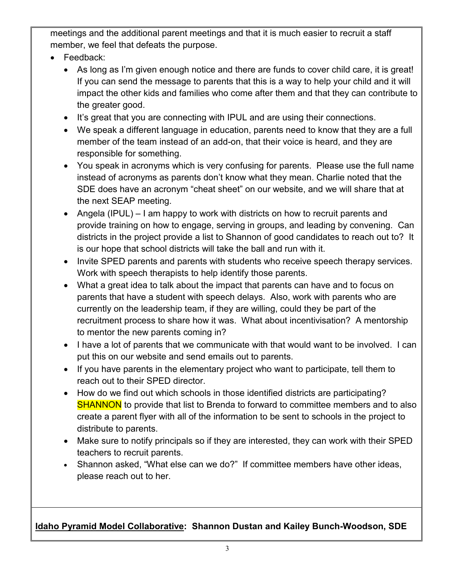meetings and the additional parent meetings and that it is much easier to recruit a staff member, we feel that defeats the purpose.

- Feedback:
	- As long as I'm given enough notice and there are funds to cover child care, it is great! If you can send the message to parents that this is a way to help your child and it will impact the other kids and families who come after them and that they can contribute to the greater good.
	- It's great that you are connecting with IPUL and are using their connections.
	- We speak a different language in education, parents need to know that they are a full member of the team instead of an add-on, that their voice is heard, and they are responsible for something.
	- You speak in acronyms which is very confusing for parents. Please use the full name instead of acronyms as parents don't know what they mean. Charlie noted that the SDE does have an acronym "cheat sheet" on our website, and we will share that at the next SEAP meeting.
	- Angela (IPUL) I am happy to work with districts on how to recruit parents and provide training on how to engage, serving in groups, and leading by convening. Can districts in the project provide a list to Shannon of good candidates to reach out to? It is our hope that school districts will take the ball and run with it.
	- Invite SPED parents and parents with students who receive speech therapy services. Work with speech therapists to help identify those parents.
	- What a great idea to talk about the impact that parents can have and to focus on parents that have a student with speech delays. Also, work with parents who are currently on the leadership team, if they are willing, could they be part of the recruitment process to share how it was. What about incentivisation? A mentorship to mentor the new parents coming in?
	- I have a lot of parents that we communicate with that would want to be involved. I can put this on our website and send emails out to parents.
	- If you have parents in the elementary project who want to participate, tell them to reach out to their SPED director.
	- How do we find out which schools in those identified districts are participating? **SHANNON** to provide that list to Brenda to forward to committee members and to also create a parent flyer with all of the information to be sent to schools in the project to distribute to parents.
	- Make sure to notify principals so if they are interested, they can work with their SPED teachers to recruit parents.
	- Shannon asked, "What else can we do?" If committee members have other ideas, please reach out to her.

# **Idaho Pyramid Model Collaborative: Shannon Dustan and Kailey Bunch-Woodson, SDE**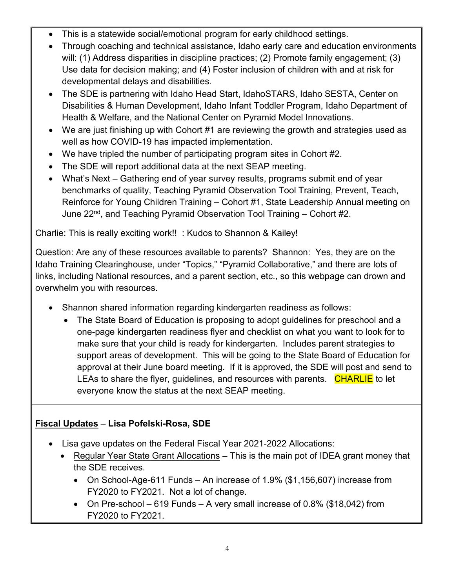- This is a statewide social/emotional program for early childhood settings.
- Through coaching and technical assistance, Idaho early care and education environments will: (1) Address disparities in discipline practices; (2) Promote family engagement; (3) Use data for decision making; and (4) Foster inclusion of children with and at risk for developmental delays and disabilities.
- The SDE is partnering with Idaho Head Start, IdahoSTARS, Idaho SESTA, Center on Disabilities & Human Development, Idaho Infant Toddler Program, Idaho Department of Health & Welfare, and the National Center on Pyramid Model Innovations.
- We are just finishing up with Cohort #1 are reviewing the growth and strategies used as well as how COVID-19 has impacted implementation.
- We have tripled the number of participating program sites in Cohort #2.
- The SDE will report additional data at the next SEAP meeting.
- What's Next Gathering end of year survey results, programs submit end of year benchmarks of quality, Teaching Pyramid Observation Tool Training, Prevent, Teach, Reinforce for Young Children Training – Cohort #1, State Leadership Annual meeting on June  $22<sup>nd</sup>$ , and Teaching Pyramid Observation Tool Training – Cohort #2.

Charlie: This is really exciting work!! : Kudos to Shannon & Kailey!

Question: Are any of these resources available to parents? Shannon: Yes, they are on the Idaho Training Clearinghouse, under "Topics," "Pyramid Collaborative," and there are lots of links, including National resources, and a parent section, etc., so this webpage can drown and overwhelm you with resources.

- Shannon shared information regarding kindergarten readiness as follows:
	- The State Board of Education is proposing to adopt guidelines for preschool and a one-page kindergarten readiness flyer and checklist on what you want to look for to make sure that your child is ready for kindergarten. Includes parent strategies to support areas of development. This will be going to the State Board of Education for approval at their June board meeting. If it is approved, the SDE will post and send to LEAs to share the flyer, guidelines, and resources with parents. CHARLIE to let everyone know the status at the next SEAP meeting.

# **Fiscal Updates** – **Lisa Pofelski-Rosa, SDE**

- Lisa gave updates on the Federal Fiscal Year 2021-2022 Allocations:
	- Regular Year State Grant Allocations This is the main pot of IDEA grant money that the SDE receives.
		- On School-Age-611 Funds An increase of 1.9% (\$1,156,607) increase from FY2020 to FY2021. Not a lot of change.
		- On Pre-school 619 Funds A very small increase of 0.8% (\$18,042) from FY2020 to FY2021.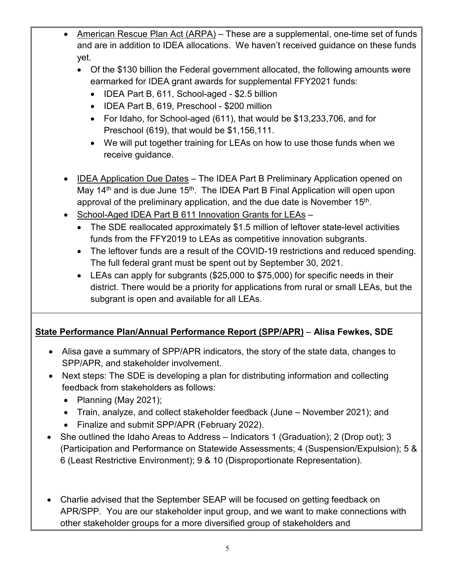- American Rescue Plan Act (ARPA) These are a supplemental, one-time set of funds and are in addition to IDEA allocations. We haven't received guidance on these funds yet.
	- Of the \$130 billion the Federal government allocated, the following amounts were earmarked for IDEA grant awards for supplemental FFY2021 funds:
		- IDEA Part B, 611, School-aged \$2.5 billion
		- IDEA Part B, 619, Preschool \$200 million
		- For Idaho, for School-aged (611), that would be \$13,233,706, and for Preschool (619), that would be \$1,156,111.
		- We will put together training for LEAs on how to use those funds when we receive guidance.
- IDEA Application Due Dates The IDEA Part B Preliminary Application opened on May 14<sup>th</sup> and is due June 15<sup>th</sup>. The IDEA Part B Final Application will open upon approval of the preliminary application, and the due date is November 15<sup>th</sup>.
- School-Aged IDEA Part B 611 Innovation Grants for LEAs
	- The SDE reallocated approximately \$1.5 million of leftover state-level activities funds from the FFY2019 to LEAs as competitive innovation subgrants.
	- The leftover funds are a result of the COVID-19 restrictions and reduced spending. The full federal grant must be spent out by September 30, 2021.
	- LEAs can apply for subgrants (\$25,000 to \$75,000) for specific needs in their district. There would be a priority for applications from rural or small LEAs, but the subgrant is open and available for all LEAs.

#### **State Performance Plan/Annual Performance Report (SPP/APR)** – **Alisa Fewkes, SDE**

- Alisa gave a summary of SPP/APR indicators, the story of the state data, changes to SPP/APR, and stakeholder involvement.
- Next steps: The SDE is developing a plan for distributing information and collecting feedback from stakeholders as follows:
	- Planning (May 2021);
	- Train, analyze, and collect stakeholder feedback (June November 2021); and
	- Finalize and submit SPP/APR (February 2022).
- She outlined the Idaho Areas to Address Indicators 1 (Graduation); 2 (Drop out); 3 (Participation and Performance on Statewide Assessments; 4 (Suspension/Expulsion); 5 & 6 (Least Restrictive Environment); 9 & 10 (Disproportionate Representation).
- Charlie advised that the September SEAP will be focused on getting feedback on APR/SPP. You are our stakeholder input group, and we want to make connections with other stakeholder groups for a more diversified group of stakeholders and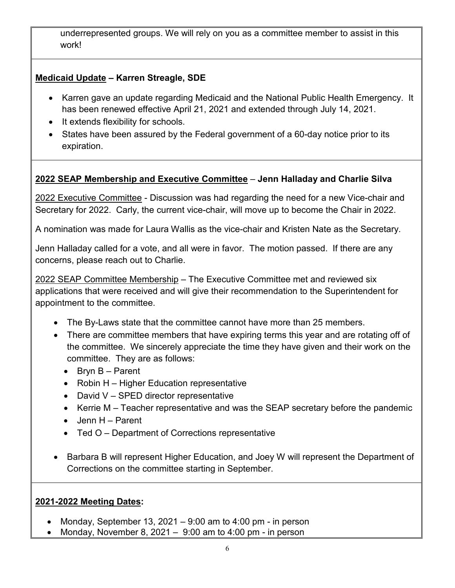underrepresented groups. We will rely on you as a committee member to assist in this work!

### **Medicaid Update – Karren Streagle, SDE**

- Karren gave an update regarding Medicaid and the National Public Health Emergency. It has been renewed effective April 21, 2021 and extended through July 14, 2021.
- It extends flexibility for schools.
- States have been assured by the Federal government of a 60-day notice prior to its expiration.

## **2022 SEAP Membership and Executive Committee** – **Jenn Halladay and Charlie Silva**

2022 Executive Committee - Discussion was had regarding the need for a new Vice-chair and Secretary for 2022. Carly, the current vice-chair, will move up to become the Chair in 2022.

A nomination was made for Laura Wallis as the vice-chair and Kristen Nate as the Secretary.

Jenn Halladay called for a vote, and all were in favor. The motion passed. If there are any concerns, please reach out to Charlie.

2022 SEAP Committee Membership – The Executive Committee met and reviewed six applications that were received and will give their recommendation to the Superintendent for appointment to the committee.

- The By-Laws state that the committee cannot have more than 25 members.
- There are committee members that have expiring terms this year and are rotating off of the committee. We sincerely appreciate the time they have given and their work on the committee. They are as follows:
	- Bryn B Parent
	- Robin H Higher Education representative
	- David V SPED director representative
	- Kerrie M Teacher representative and was the SEAP secretary before the pandemic
	- Jenn H Parent
	- Ted O Department of Corrections representative
- Barbara B will represent Higher Education, and Joey W will represent the Department of Corrections on the committee starting in September.

#### **2021-2022 Meeting Dates:**

- Monday, September 13, 2021 9:00 am to 4:00 pm in person
- Monday, November 8, 2021 9:00 am to 4:00 pm in person